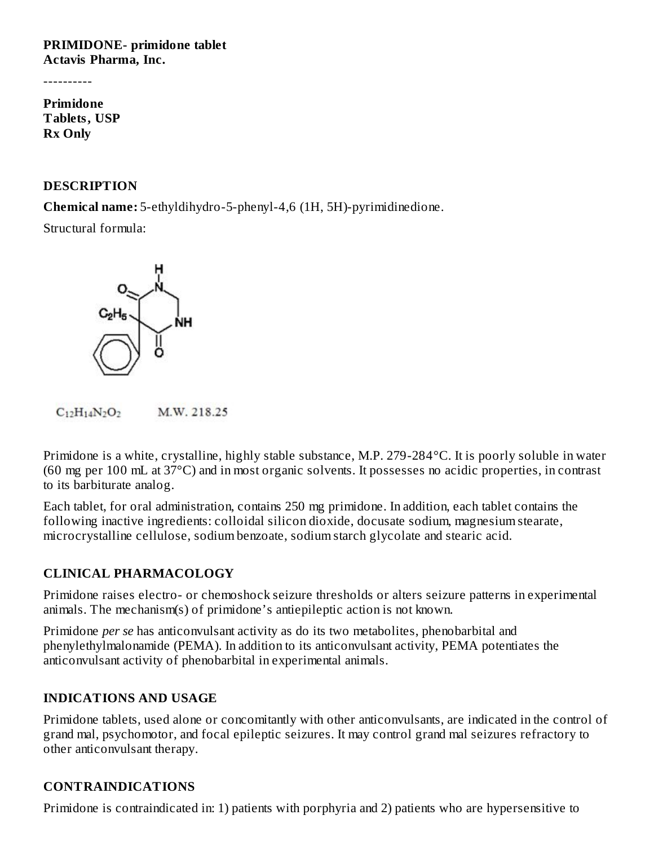#### **PRIMIDONE- primidone tablet Actavis Pharma, Inc.**

----------

**Primidone Tablets, USP Rx Only**

#### **DESCRIPTION**

**Chemical name:** 5-ethyldihydro-5-phenyl-4,6 (1H, 5H)-pyrimidinedione.

Structural formula:





Primidone is a white, crystalline, highly stable substance, M.P. 279-284°C. It is poorly soluble in water (60 mg per 100 mL at 37°C) and in most organic solvents. It possesses no acidic properties, in contrast to its barbiturate analog.

Each tablet, for oral administration, contains 250 mg primidone. In addition, each tablet contains the following inactive ingredients: colloidal silicon dioxide, docusate sodium, magnesium stearate, microcrystalline cellulose, sodium benzoate, sodium starch glycolate and stearic acid.

## **CLINICAL PHARMACOLOGY**

Primidone raises electro- or chemoshock seizure thresholds or alters seizure patterns in experimental animals. The mechanism(s) of primidone's antiepileptic action is not known.

Primidone *per se* has anticonvulsant activity as do its two metabolites, phenobarbital and phenylethylmalonamide (PEMA). In addition to its anticonvulsant activity, PEMA potentiates the anticonvulsant activity of phenobarbital in experimental animals.

## **INDICATIONS AND USAGE**

Primidone tablets, used alone or concomitantly with other anticonvulsants, are indicated in the control of grand mal, psychomotor, and focal epileptic seizures. It may control grand mal seizures refractory to other anticonvulsant therapy.

## **CONTRAINDICATIONS**

Primidone is contraindicated in: 1) patients with porphyria and 2) patients who are hypersensitive to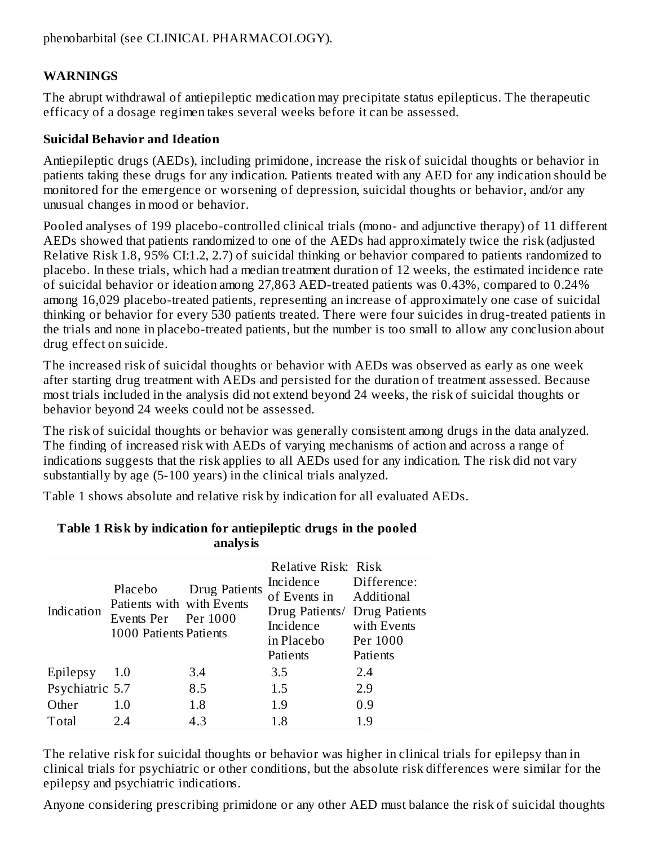# **WARNINGS**

The abrupt withdrawal of antiepileptic medication may precipitate status epilepticus. The therapeutic efficacy of a dosage regimen takes several weeks before it can be assessed.

# **Suicidal Behavior and Ideation**

Antiepileptic drugs (AEDs), including primidone, increase the risk of suicidal thoughts or behavior in patients taking these drugs for any indication. Patients treated with any AED for any indication should be monitored for the emergence or worsening of depression, suicidal thoughts or behavior, and/or any unusual changes in mood or behavior.

Pooled analyses of 199 placebo-controlled clinical trials (mono- and adjunctive therapy) of 11 different AEDs showed that patients randomized to one of the AEDs had approximately twice the risk (adjusted Relative Risk 1.8, 95% CI:1.2, 2.7) of suicidal thinking or behavior compared to patients randomized to placebo. In these trials, which had a median treatment duration of 12 weeks, the estimated incidence rate of suicidal behavior or ideation among 27,863 AED-treated patients was 0.43%, compared to 0.24% among 16,029 placebo-treated patients, representing an increase of approximately one case of suicidal thinking or behavior for every 530 patients treated. There were four suicides in drug-treated patients in the trials and none in placebo-treated patients, but the number is too small to allow any conclusion about drug effect on suicide.

The increased risk of suicidal thoughts or behavior with AEDs was observed as early as one week after starting drug treatment with AEDs and persisted for the duration of treatment assessed. Because most trials included in the analysis did not extend beyond 24 weeks, the risk of suicidal thoughts or behavior beyond 24 weeks could not be assessed.

The risk of suicidal thoughts or behavior was generally consistent among drugs in the data analyzed. The finding of increased risk with AEDs of varying mechanisms of action and across a range of indications suggests that the risk applies to all AEDs used for any indication. The risk did not vary substantially by age (5-100 years) in the clinical trials analyzed.

Table 1 shows absolute and relative risk by indication for all evaluated AEDs.

| unuryo w        |                                                                                       |                      |                                                                                                                                                |                                     |  |  |
|-----------------|---------------------------------------------------------------------------------------|----------------------|------------------------------------------------------------------------------------------------------------------------------------------------|-------------------------------------|--|--|
| Indication      | Placebo<br>Patients with with Events<br>Events Per Per 1000<br>1000 Patients Patients | <b>Drug Patients</b> | Relative Risk: Risk<br>Incidence Difference:<br>of Events in Additional<br>Drug Patients/ Drug Patients<br>Incidence<br>in Placebo<br>Patients | with Events<br>Per 1000<br>Patients |  |  |
| Epilepsy        | 1.0                                                                                   | 3.4                  | 3.5                                                                                                                                            | 2.4                                 |  |  |
| Psychiatric 5.7 |                                                                                       | 8.5                  | 1.5                                                                                                                                            | 2.9                                 |  |  |
| Other           | 1.0                                                                                   | 1.8                  | 1.9                                                                                                                                            | 0.9                                 |  |  |
| Total           | 2.4                                                                                   | 4.3                  | 1.8                                                                                                                                            | 1.9                                 |  |  |

#### **Table 1 Risk by indication for antiepileptic drugs in the pooled analysis**

The relative risk for suicidal thoughts or behavior was higher in clinical trials for epilepsy than in clinical trials for psychiatric or other conditions, but the absolute risk differences were similar for the epilepsy and psychiatric indications.

Anyone considering prescribing primidone or any other AED must balance the risk of suicidal thoughts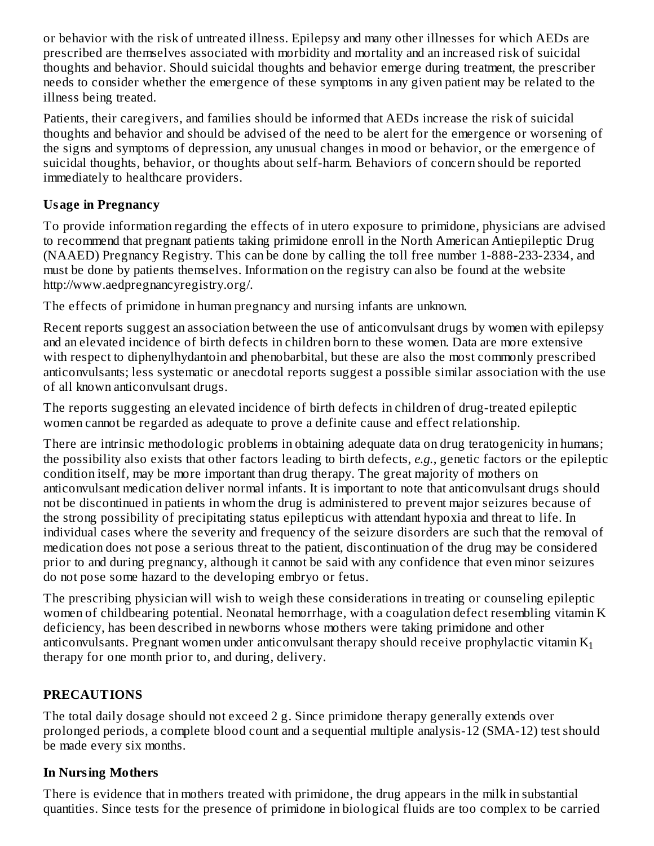or behavior with the risk of untreated illness. Epilepsy and many other illnesses for which AEDs are prescribed are themselves associated with morbidity and mortality and an increased risk of suicidal thoughts and behavior. Should suicidal thoughts and behavior emerge during treatment, the prescriber needs to consider whether the emergence of these symptoms in any given patient may be related to the illness being treated.

Patients, their caregivers, and families should be informed that AEDs increase the risk of suicidal thoughts and behavior and should be advised of the need to be alert for the emergence or worsening of the signs and symptoms of depression, any unusual changes in mood or behavior, or the emergence of suicidal thoughts, behavior, or thoughts about self-harm. Behaviors of concern should be reported immediately to healthcare providers.

## **Usage in Pregnancy**

To provide information regarding the effects of in utero exposure to primidone, physicians are advised to recommend that pregnant patients taking primidone enroll in the North American Antiepileptic Drug (NAAED) Pregnancy Registry. This can be done by calling the toll free number 1-888-233-2334, and must be done by patients themselves. Information on the registry can also be found at the website http://www.aedpregnancyregistry.org/.

The effects of primidone in human pregnancy and nursing infants are unknown.

Recent reports suggest an association between the use of anticonvulsant drugs by women with epilepsy and an elevated incidence of birth defects in children born to these women. Data are more extensive with respect to diphenylhydantoin and phenobarbital, but these are also the most commonly prescribed anticonvulsants; less systematic or anecdotal reports suggest a possible similar association with the use of all known anticonvulsant drugs.

The reports suggesting an elevated incidence of birth defects in children of drug-treated epileptic women cannot be regarded as adequate to prove a definite cause and effect relationship.

There are intrinsic methodologic problems in obtaining adequate data on drug teratogenicity in humans; the possibility also exists that other factors leading to birth defects, *e.g.*, genetic factors or the epileptic condition itself, may be more important than drug therapy. The great majority of mothers on anticonvulsant medication deliver normal infants. It is important to note that anticonvulsant drugs should not be discontinued in patients in whom the drug is administered to prevent major seizures because of the strong possibility of precipitating status epilepticus with attendant hypoxia and threat to life. In individual cases where the severity and frequency of the seizure disorders are such that the removal of medication does not pose a serious threat to the patient, discontinuation of the drug may be considered prior to and during pregnancy, although it cannot be said with any confidence that even minor seizures do not pose some hazard to the developing embryo or fetus.

The prescribing physician will wish to weigh these considerations in treating or counseling epileptic women of childbearing potential. Neonatal hemorrhage, with a coagulation defect resembling vitamin K deficiency, has been described in newborns whose mothers were taking primidone and other anticonvulsants. Pregnant women under anticonvulsant therapy should receive prophylactic vitamin  $\mathrm{K}_1$ therapy for one month prior to, and during, delivery.

# **PRECAUTIONS**

The total daily dosage should not exceed 2 g. Since primidone therapy generally extends over prolonged periods, a complete blood count and a sequential multiple analysis-12 (SMA-12) test should be made every six months.

## **In Nursing Mothers**

There is evidence that in mothers treated with primidone, the drug appears in the milk in substantial quantities. Since tests for the presence of primidone in biological fluids are too complex to be carried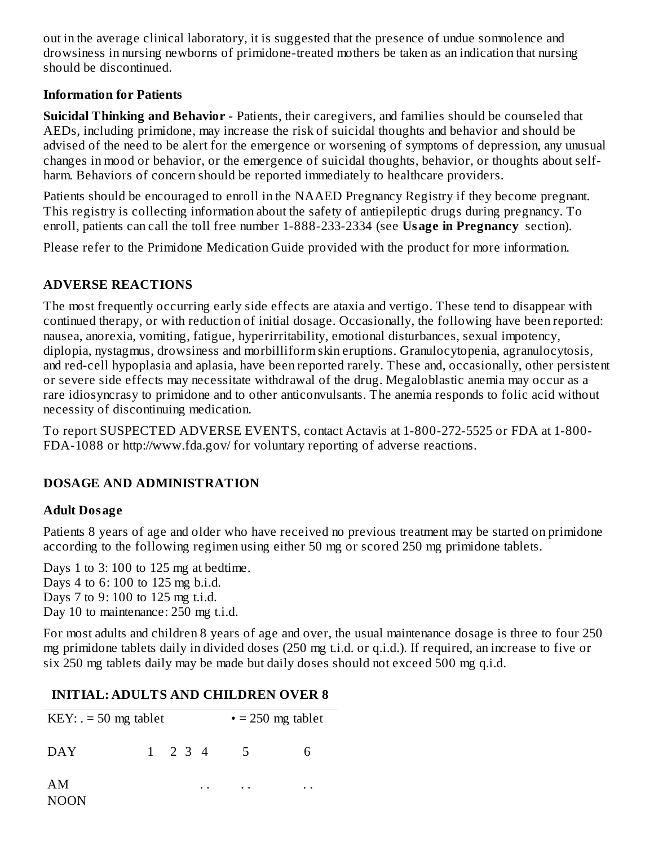out in the average clinical laboratory, it is suggested that the presence of undue somnolence and drowsiness in nursing newborns of primidone-treated mothers be taken as an indication that nursing should be discontinued.

## **Information for Patients**

**Suicidal Thinking and Behavior -** Patients, their caregivers, and families should be counseled that AEDs, including primidone, may increase the risk of suicidal thoughts and behavior and should be advised of the need to be alert for the emergence or worsening of symptoms of depression, any unusual changes in mood or behavior, or the emergence of suicidal thoughts, behavior, or thoughts about selfharm. Behaviors of concern should be reported immediately to healthcare providers.

Patients should be encouraged to enroll in the NAAED Pregnancy Registry if they become pregnant. This registry is collecting information about the safety of antiepileptic drugs during pregnancy. To enroll, patients can call the toll free number 1-888-233-2334 (see **Usage in Pregnancy** section).

Please refer to the Primidone Medication Guide provided with the product for more information.

## **ADVERSE REACTIONS**

The most frequently occurring early side effects are ataxia and vertigo. These tend to disappear with continued therapy, or with reduction of initial dosage. Occasionally, the following have been reported: nausea, anorexia, vomiting, fatigue, hyperirritability, emotional disturbances, sexual impotency, diplopia, nystagmus, drowsiness and morbilliform skin eruptions. Granulocytopenia, agranulocytosis, and red-cell hypoplasia and aplasia, have been reported rarely. These and, occasionally, other persistent or severe side effects may necessitate withdrawal of the drug. Megaloblastic anemia may occur as a rare idiosyncrasy to primidone and to other anticonvulsants. The anemia responds to folic acid without necessity of discontinuing medication.

To report SUSPECTED ADVERSE EVENTS, contact Actavis at 1-800-272-5525 or FDA at 1-800- FDA-1088 or http://www.fda.gov/ for voluntary reporting of adverse reactions.

## **DOSAGE AND ADMINISTRATION**

## **Adult Dosage**

Patients 8 years of age and older who have received no previous treatment may be started on primidone according to the following regimen using either 50 mg or scored 250 mg primidone tablets.

Days 1 to 3: 100 to 125 mg at bedtime. Days 4 to 6: 100 to 125 mg b.i.d. Days 7 to 9: 100 to 125 mg t.i.d. Day 10 to maintenance: 250 mg t.i.d.

For most adults and children 8 years of age and over, the usual maintenance dosage is three to four 250 mg primidone tablets daily in divided doses (250 mg t.i.d. or q.i.d.). If required, an increase to five or six 250 mg tablets daily may be made but daily doses should not exceed 500 mg q.i.d.

#### **INITIAL: ADULTS AND CHILDREN OVER 8**

| $KEY: . = 50$ mg tablet |  |                 |                      | $\bullet$ = 250 mg tablet |                      |  |
|-------------------------|--|-----------------|----------------------|---------------------------|----------------------|--|
| <b>DAY</b>              |  | $1 \t2 \t3 \t4$ |                      | - 5                       | 6                    |  |
| AM<br><b>NOON</b>       |  |                 | $\ddot{\phantom{0}}$ | $\ddot{\phantom{0}}$      | $\ddot{\phantom{0}}$ |  |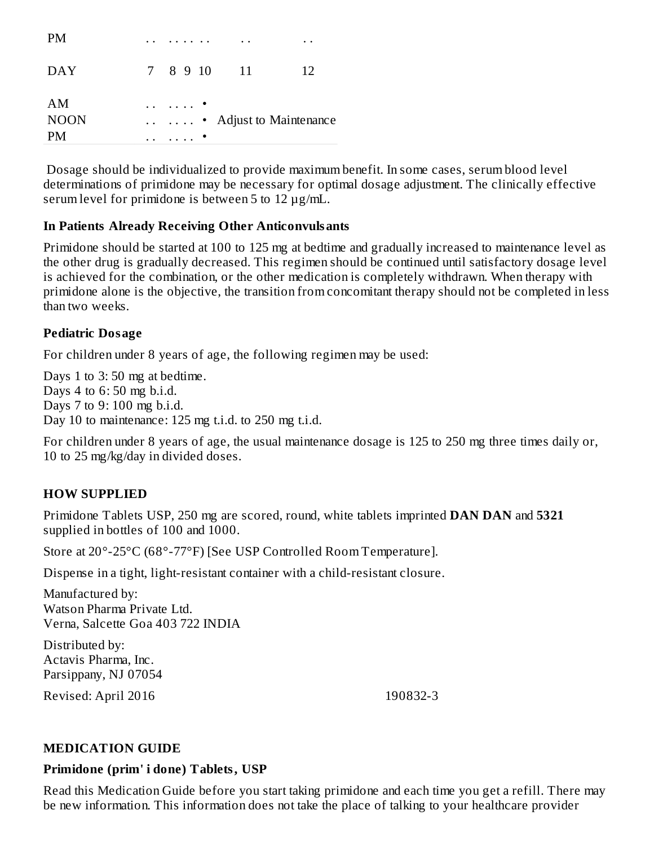| <b>PM</b>   |          |               |                                           |
|-------------|----------|---------------|-------------------------------------------|
| <b>NOON</b> |          |               | $\ldots$ $\ldots$ • Adjust to Maintenance |
| AM          |          |               |                                           |
| <b>DAY</b>  | 7 8 9 10 | 11            | 12                                        |
| <b>PM</b>   | .        | $\cdot \cdot$ | $\cdot\cdot$                              |

Dosage should be individualized to provide maximum benefit. In some cases, serum blood level determinations of primidone may be necessary for optimal dosage adjustment. The clinically effective serum level for primidone is between 5 to 12 µg/mL.

#### **In Patients Already Receiving Other Anticonvulsants**

Primidone should be started at 100 to 125 mg at bedtime and gradually increased to maintenance level as the other drug is gradually decreased. This regimen should be continued until satisfactory dosage level is achieved for the combination, or the other medication is completely withdrawn. When therapy with primidone alone is the objective, the transition from concomitant therapy should not be completed in less than two weeks.

## **Pediatric Dosage**

For children under 8 years of age, the following regimen may be used:

Days 1 to 3:50 mg at bedtime. Days 4 to 6: 50 mg b.i.d. Days 7 to 9: 100 mg b.i.d. Day 10 to maintenance: 125 mg t.i.d. to 250 mg t.i.d.

For children under 8 years of age, the usual maintenance dosage is 125 to 250 mg three times daily or, 10 to 25 mg/kg/day in divided doses.

## **HOW SUPPLIED**

Primidone Tablets USP, 250 mg are scored, round, white tablets imprinted **DAN DAN** and **5321** supplied in bottles of 100 and 1000.

Store at 20°-25°C (68°-77°F) [See USP Controlled Room Temperature].

Dispense in a tight, light-resistant container with a child-resistant closure.

Manufactured by: Watson Pharma Private Ltd. Verna, Salcette Goa 403 722 INDIA

Distributed by: Actavis Pharma, Inc. Parsippany, NJ 07054

Revised: April 2016 190832-3

#### **MEDICATION GUIDE**

## **Primidone (prim' i done) Tablets, USP**

Read this Medication Guide before you start taking primidone and each time you get a refill. There may be new information. This information does not take the place of talking to your healthcare provider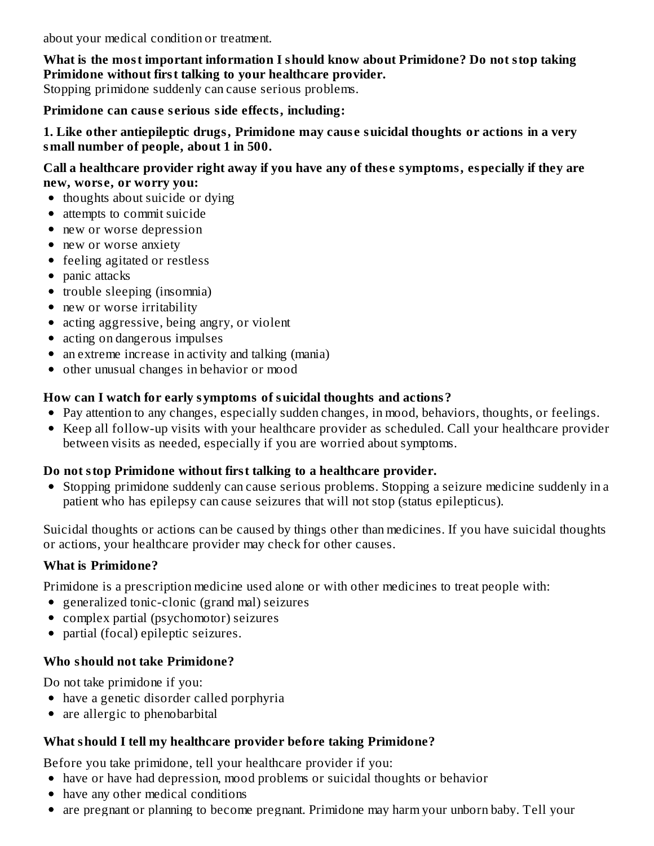about your medical condition or treatment.

## **What is the most important information I should know about Primidone? Do not stop taking Primidone without first talking to your healthcare provider.**

Stopping primidone suddenly can cause serious problems.

#### **Primidone can caus e s erious side effects, including:**

**1. Like other antiepileptic drugs, Primidone may caus e suicidal thoughts or actions in a very small number of people, about 1 in 500.**

#### **Call a healthcare provider right away if you have any of thes e symptoms, especially if they are new, wors e, or worry you:**

- thoughts about suicide or dying
- attempts to commit suicide
- new or worse depression
- new or worse anxiety
- feeling agitated or restless
- panic attacks
- trouble sleeping (insomnia)
- new or worse irritability
- acting aggressive, being angry, or violent
- acting on dangerous impulses
- an extreme increase in activity and talking (mania)
- other unusual changes in behavior or mood

# **How can I watch for early symptoms of suicidal thoughts and actions?**

- Pay attention to any changes, especially sudden changes, in mood, behaviors, thoughts, or feelings.
- Keep all follow-up visits with your healthcare provider as scheduled. Call your healthcare provider between visits as needed, especially if you are worried about symptoms.

## **Do not stop Primidone without first talking to a healthcare provider.**

Stopping primidone suddenly can cause serious problems. Stopping a seizure medicine suddenly in a patient who has epilepsy can cause seizures that will not stop (status epilepticus).

Suicidal thoughts or actions can be caused by things other than medicines. If you have suicidal thoughts or actions, your healthcare provider may check for other causes.

# **What is Primidone?**

Primidone is a prescription medicine used alone or with other medicines to treat people with:

- generalized tonic-clonic (grand mal) seizures
- complex partial (psychomotor) seizures
- partial (focal) epileptic seizures.

## **Who should not take Primidone?**

Do not take primidone if you:

- have a genetic disorder called porphyria
- are allergic to phenobarbital

# **What should I tell my healthcare provider before taking Primidone?**

Before you take primidone, tell your healthcare provider if you:

- have or have had depression, mood problems or suicidal thoughts or behavior
- have any other medical conditions
- are pregnant or planning to become pregnant. Primidone may harm your unborn baby. Tell your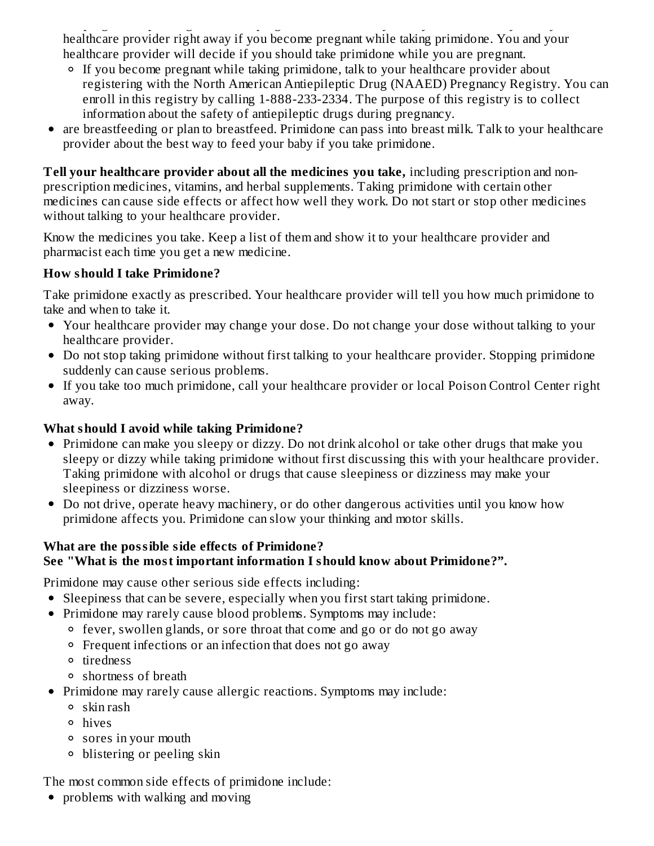are pregnant or planning to become pregnant. Primidone may harm your unborn baby. Tell your healthcare provider right away if you become pregnant while taking primidone. You and your healthcare provider will decide if you should take primidone while you are pregnant.

- If you become pregnant while taking primidone, talk to your healthcare provider about registering with the North American Antiepileptic Drug (NAAED) Pregnancy Registry. You can enroll in this registry by calling 1-888-233-2334. The purpose of this registry is to collect information about the safety of antiepileptic drugs during pregnancy.
- are breastfeeding or plan to breastfeed. Primidone can pass into breast milk. Talk to your healthcare  $\bullet$ provider about the best way to feed your baby if you take primidone.

**Tell your healthcare provider about all the medicines you take,** including prescription and nonprescription medicines, vitamins, and herbal supplements. Taking primidone with certain other medicines can cause side effects or affect how well they work. Do not start or stop other medicines without talking to your healthcare provider.

Know the medicines you take. Keep a list of them and show it to your healthcare provider and pharmacist each time you get a new medicine.

## **How should I take Primidone?**

Take primidone exactly as prescribed. Your healthcare provider will tell you how much primidone to take and when to take it.

- Your healthcare provider may change your dose. Do not change your dose without talking to your healthcare provider.
- Do not stop taking primidone without first talking to your healthcare provider. Stopping primidone suddenly can cause serious problems.
- If you take too much primidone, call your healthcare provider or local Poison Control Center right away.

# **What should I avoid while taking Primidone?**

- Primidone can make you sleepy or dizzy. Do not drink alcohol or take other drugs that make you sleepy or dizzy while taking primidone without first discussing this with your healthcare provider. Taking primidone with alcohol or drugs that cause sleepiness or dizziness may make your sleepiness or dizziness worse.
- Do not drive, operate heavy machinery, or do other dangerous activities until you know how primidone affects you. Primidone can slow your thinking and motor skills.

#### **What are the possible side effects of Primidone? See "What is the most important information I should know about Primidone?".**

Primidone may cause other serious side effects including:

- Sleepiness that can be severe, especially when you first start taking primidone.
- Primidone may rarely cause blood problems. Symptoms may include:
	- fever, swollen glands, or sore throat that come and go or do not go away
	- Frequent infections or an infection that does not go away
	- o tiredness
	- shortness of breath
- Primidone may rarely cause allergic reactions. Symptoms may include:
	- $\circ$  skin rash
	- hives
	- sores in your mouth
	- blistering or peeling skin

The most common side effects of primidone include:

• problems with walking and moving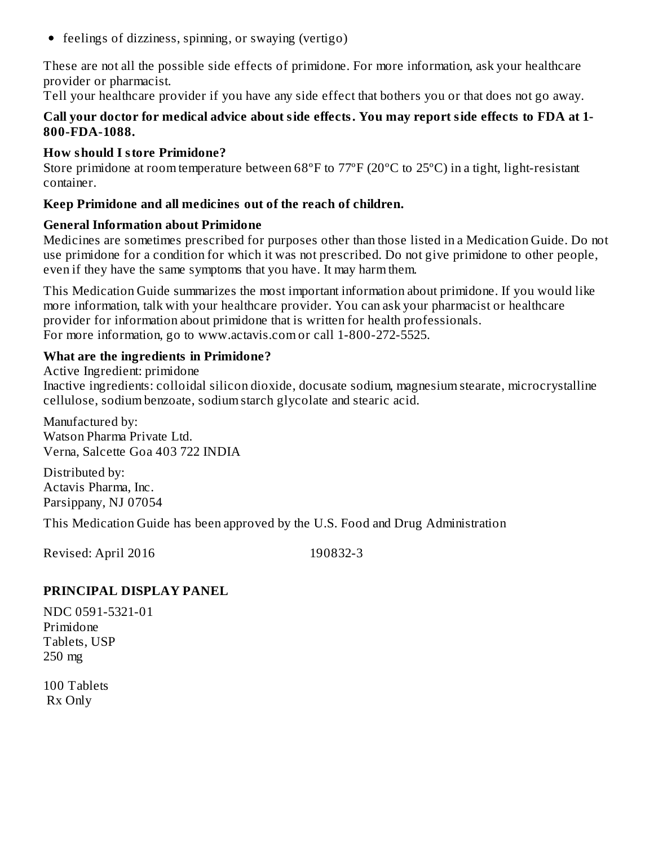• feelings of dizziness, spinning, or swaying (vertigo)

These are not all the possible side effects of primidone. For more information, ask your healthcare provider or pharmacist.

Tell your healthcare provider if you have any side effect that bothers you or that does not go away.

## **Call your doctor for medical advice about side effects. You may report side effects to FDA at 1- 800-FDA-1088.**

## **How should I store Primidone?**

Store primidone at room temperature between 68ºF to 77ºF (20ºC to 25ºC) in a tight, light-resistant container.

## **Keep Primidone and all medicines out of the reach of children.**

#### **General Information about Primidone**

Medicines are sometimes prescribed for purposes other than those listed in a Medication Guide. Do not use primidone for a condition for which it was not prescribed. Do not give primidone to other people, even if they have the same symptoms that you have. It may harm them.

This Medication Guide summarizes the most important information about primidone. If you would like more information, talk with your healthcare provider. You can ask your pharmacist or healthcare provider for information about primidone that is written for health professionals. For more information, go to www.actavis.com or call 1-800-272-5525.

#### **What are the ingredients in Primidone?**

Active Ingredient: primidone

Inactive ingredients: colloidal silicon dioxide, docusate sodium, magnesium stearate, microcrystalline cellulose, sodium benzoate, sodium starch glycolate and stearic acid.

Manufactured by: Watson Pharma Private Ltd. Verna, Salcette Goa 403 722 INDIA

Distributed by: Actavis Pharma, Inc. Parsippany, NJ 07054

This Medication Guide has been approved by the U.S. Food and Drug Administration

Revised: April 2016 190832-3

## **PRINCIPAL DISPLAY PANEL**

NDC 0591-5321-01 Primidone Tablets, USP 250 mg

100 Tablets Rx Only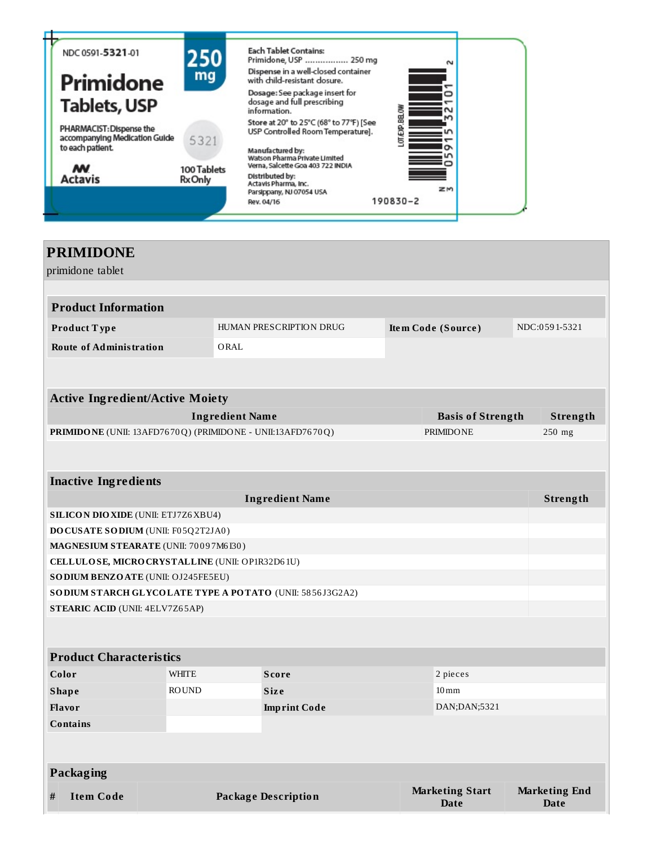

| <b>PRIMIDONE</b><br>primidone tablet                      |              |                                                            |  |                                       |  |                                     |  |
|-----------------------------------------------------------|--------------|------------------------------------------------------------|--|---------------------------------------|--|-------------------------------------|--|
|                                                           |              |                                                            |  |                                       |  |                                     |  |
| <b>Product Information</b>                                |              |                                                            |  |                                       |  |                                     |  |
| Product Type                                              |              | HUMAN PRESCRIPTION DRUG<br>Item Code (Source)              |  |                                       |  | NDC:0591-5321                       |  |
| <b>Route of Administration</b>                            |              | ORAL                                                       |  |                                       |  |                                     |  |
|                                                           |              |                                                            |  |                                       |  |                                     |  |
| <b>Active Ingredient/Active Moiety</b>                    |              |                                                            |  |                                       |  |                                     |  |
|                                                           |              | <b>Ingredient Name</b>                                     |  | <b>Basis of Strength</b>              |  | Strength                            |  |
|                                                           |              | PRIMIDONE (UNII: 13AFD7670Q) (PRIMIDONE - UNII:13AFD7670Q) |  | <b>PRIMIDONE</b>                      |  | 250 mg                              |  |
|                                                           |              |                                                            |  |                                       |  |                                     |  |
| <b>Inactive Ingredients</b>                               |              |                                                            |  |                                       |  |                                     |  |
|                                                           |              | <b>Ingredient Name</b>                                     |  |                                       |  | Strength                            |  |
| <b>SILICON DIO XIDE (UNII: ETJ7Z6 XBU4)</b>               |              |                                                            |  |                                       |  |                                     |  |
| DOCUSATE SODIUM (UNII: F05Q2T2JA0)                        |              |                                                            |  |                                       |  |                                     |  |
| MAGNESIUM STEARATE (UNII: 70097M6I30)                     |              |                                                            |  |                                       |  |                                     |  |
| CELLULOSE, MICRO CRYSTALLINE (UNII: OP1R32D61U)           |              |                                                            |  |                                       |  |                                     |  |
| SODIUM BENZOATE (UNII: OJ245FE5EU)                        |              |                                                            |  |                                       |  |                                     |  |
| SO DIUM STARCH GLYCOLATE TYPE A POTATO (UNII: 5856J3G2A2) |              |                                                            |  |                                       |  |                                     |  |
| STEARIC ACID (UNII: 4ELV7Z65AP)                           |              |                                                            |  |                                       |  |                                     |  |
|                                                           |              |                                                            |  |                                       |  |                                     |  |
| <b>Product Characteristics</b>                            |              |                                                            |  |                                       |  |                                     |  |
| Color                                                     | <b>WHITE</b> | <b>Score</b>                                               |  | 2 pieces                              |  |                                     |  |
| <b>Shape</b>                                              | <b>ROUND</b> | <b>Size</b>                                                |  | $10 \,\mathrm{mm}$                    |  |                                     |  |
| <b>Flavor</b>                                             |              | <b>Imprint Code</b>                                        |  | DAN; DAN; 5321                        |  |                                     |  |
| <b>Contains</b>                                           |              |                                                            |  |                                       |  |                                     |  |
|                                                           |              |                                                            |  |                                       |  |                                     |  |
| <b>Packaging</b>                                          |              |                                                            |  |                                       |  |                                     |  |
| <b>Item Code</b><br>#                                     |              | <b>Package Description</b>                                 |  | <b>Marketing Start</b><br><b>Date</b> |  | <b>Marketing End</b><br><b>Date</b> |  |